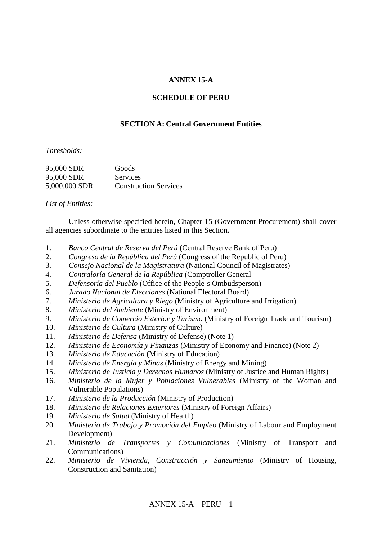## **ANNEX 15-A**

#### **SCHEDULE OF PERU**

### **SECTION A: Central Government Entities**

*Thresholds:*

| 95,000 SDR    | Goods                        |
|---------------|------------------------------|
| 95,000 SDR    | Services                     |
| 5,000,000 SDR | <b>Construction Services</b> |

*List of Entities:*

Unless otherwise specified herein, Chapter 15 (Government Procurement) shall cover all agencies subordinate to the entities listed in this Section.

- 1. *Banco Central de Reserva del Perú* (Central Reserve Bank of Peru)
- 2. *Congreso de la República del Perú* (Congress of the Republic of Peru)
- 3. *Consejo Nacional de la Magistratura* (National Council of Magistrates)
- 4. Contraloría General de la República (Comptroller General)
- 5. *Defensoría del Pueblo* (Office of the People s Ombudsperson)
- 6. *Jurado Nacional de Elecciones* (National Electoral Board)
- 7. *Ministerio de Agricultura y Riego* (Ministry of Agriculture and Irrigation)
- 8. *Ministerio del Ambiente* (Ministry of Environment)
- 9. *Ministerio de Comercio Exterior y Turismo* (Ministry of Foreign Trade and Tourism)
- 10. *Ministerio de Cultura* (Ministry of Culture)
- 11. *Ministerio de Defensa* (Ministry of Defense) (Note 1)
- 12. *Ministerio de Economía y Finanzas* (Ministry of Economy and Finance) (Note 2)
- 13. *Ministerio de Educación* (Ministry of Education)
- 14. *Ministerio de Energía y Minas* (Ministry of Energy and Mining)
- 15. *Ministerio de Justicia y Derechos Humanos* (Ministry of Justice and Human Rights)
- 16. *Ministerio de la Mujer y Poblaciones Vulnerables* (Ministry of the Woman and Vulnerable Populations)
- 17. *Ministerio de la Producción* (Ministry of Production)
- 18. *Ministerio de Relaciones Exteriores* (Ministry of Foreign Affairs)
- 19. *Ministerio de Salud* (Ministry of Health)
- 20. *Ministerio de Trabajo y Promoción del Empleo* (Ministry of Labour and Employment Development)
- 21. *Ministerio de Transportes y Comunicaciones* (Ministry of Transport and Communications)
- 22. *Ministerio de Vivienda, Construcción y Saneamiento* (Ministry of Housing, Construction and Sanitation)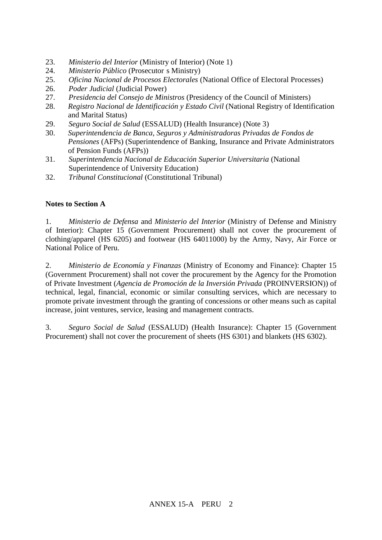- 23. *Ministerio del Interior* (Ministry of Interior) (Note 1)
- 24. *Ministerio Público* (Prosecutor s Ministry)
- 25. *Oficina Nacional de Procesos Electorales* (National Office of Electoral Processes)
- 26. *Poder Judicial* (Judicial Power)
- 27. *Presidencia del Consejo de Ministros* (Presidency of the Council of Ministers)
- 28. *Registro Nacional de Identificación y Estado Civil* (National Registry of Identification and Marital Status)
- 29. *Seguro Social de Salud* (ESSALUD) (Health Insurance) (Note 3)
- 30. *Superintendencia de Banca, Seguros y Administradoras Privadas de Fondos de Pensiones* (AFPs) (Superintendence of Banking, Insurance and Private Administrators of Pension Funds (AFPs))
- 31. *Superintendencia Nacional de Educación Superior Universitaria* (National Superintendence of University Education)
- 32. *Tribunal Constitucional* (Constitutional Tribunal)

# **Notes to Section A**

1. *Ministerio de Defensa* and *Ministerio del Interior* (Ministry of Defense and Ministry of Interior): Chapter 15 (Government Procurement) shall not cover the procurement of clothing/apparel (HS 6205) and footwear (HS 64011000) by the Army, Navy, Air Force or National Police of Peru.

2. *Ministerio de Economía y Finanzas* (Ministry of Economy and Finance): Chapter 15 (Government Procurement) shall not cover the procurement by the Agency for the Promotion of Private Investment (*Agencia de Promoción de la Inversión Privada* (PROINVERSION)) of technical, legal, financial, economic or similar consulting services, which are necessary to promote private investment through the granting of concessions or other means such as capital increase, joint ventures, service, leasing and management contracts.

3. *Seguro Social de Salud* (ESSALUD) (Health Insurance): Chapter 15 (Government Procurement) shall not cover the procurement of sheets (HS 6301) and blankets (HS 6302).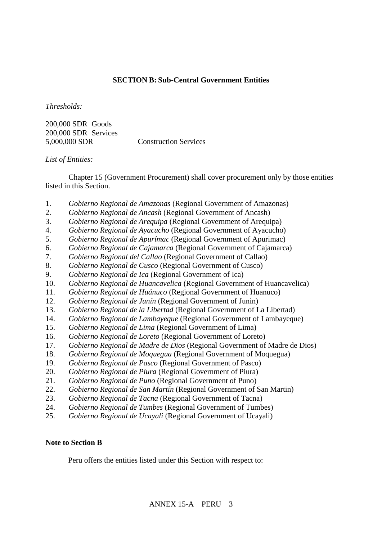## **SECTION B: Sub-Central Government Entities**

*Thresholds:*

200,000 SDR Goods 200,000 SDR Services 5,000,000 SDR Construction Services

*List of Entities:*

Chapter 15 (Government Procurement) shall cover procurement only by those entities listed in this Section.

- 1. *Gobierno Regional de Amazonas* (Regional Government of Amazonas)
- 2. *Gobierno Regional de Ancash* (Regional Government of Ancash)
- 3. *Gobierno Regional de Arequipa* (Regional Government of Arequipa)
- 4. *Gobierno Regional de Ayacucho* (Regional Government of Ayacucho)
- 5. *Gobierno Regional de Apurímac* (Regional Government of Apurimac)
- 6. *Gobierno Regional de Cajamarca* (Regional Government of Cajamarca)
- 7. *Gobierno Regional del Callao* (Regional Government of Callao)
- 8. *Gobierno Regional de Cusco* (Regional Government of Cusco)
- 9. *Gobierno Regional de Ica* (Regional Government of Ica)
- 10. *Gobierno Regional de Huancavelica* (Regional Government of Huancavelica)
- 11. *Gobierno Regional de Huánuco* (Regional Government of Huanuco)
- 12. *Gobierno Regional de Junín* (Regional Government of Junin)
- 13. *Gobierno Regional de la Libertad* (Regional Government of La Libertad)
- 14. *Gobierno Regional de Lambayeque* (Regional Government of Lambayeque)
- 15. *Gobierno Regional de Lima* (Regional Government of Lima)
- 16. *Gobierno Regional de Loreto* (Regional Government of Loreto)
- 17. *Gobierno Regional de Madre de Dios* (Regional Government of Madre de Dios)
- 18. *Gobierno Regional de Moquegua* (Regional Government of Moquegua)
- 19. *Gobierno Regional de Pasco* (Regional Government of Pasco)
- 20. *Gobierno Regional de Piura* (Regional Government of Piura)
- 21. *Gobierno Regional de Puno* (Regional Government of Puno)
- 22. *Gobierno Regional de San Martín* (Regional Government of San Martin)
- 23. *Gobierno Regional de Tacna* (Regional Government of Tacna)
- 24. *Gobierno Regional de Tumbes* (Regional Government of Tumbes)
- 25. *Gobierno Regional de Ucayali* (Regional Government of Ucayali)

#### **Note to Section B**

Peru offers the entities listed under this Section with respect to: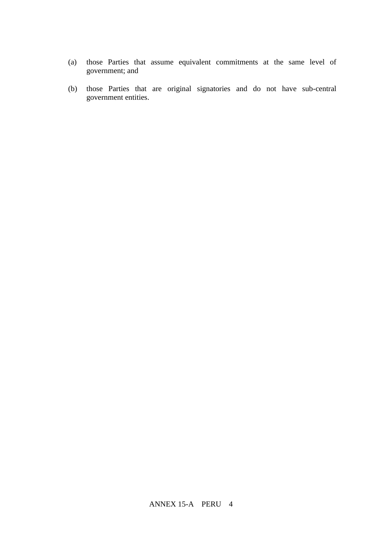- (a) those Parties that assume equivalent commitments at the same level of government; and
- (b) those Parties that are original signatories and do not have sub-central government entities.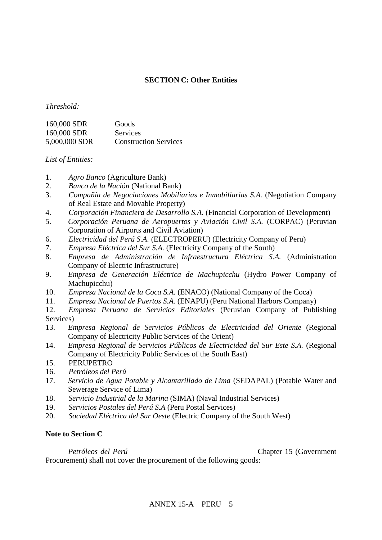# **SECTION C: Other Entities**

### *Threshold:*

| 160,000 SDR   | Goods                        |
|---------------|------------------------------|
| 160,000 SDR   | <b>Services</b>              |
| 5,000,000 SDR | <b>Construction Services</b> |

*List of Entities:*

- 1. *Agro Banco* (Agriculture Bank)
- 2. *Banco de la Nación* (National Bank)
- 3. *Compañía de Negociaciones Mobiliarias e Inmobiliarias S.A.* (Negotiation Company of Real Estate and Movable Property)
- 4. *Corporación Financiera de Desarrollo S.A.* (Financial Corporation of Development)
- 5. *Corporación Peruana de Aeropuertos y Aviación Civil S.A.* (CORPAC) (Peruvian Corporation of Airports and Civil Aviation)
- 6. *Electricidad del Perú S.A.* (ELECTROPERU) (Electricity Company of Peru)
- 7. *Empresa Eléctrica del Sur S.A.* (Electricity Company of the South)
- 8. *Empresa de Administración de Infraestructura Eléctrica S.A.* (Administration Company of Electric Infrastructure)
- 9. *Empresa de Generación Eléctrica de Machupicchu* (Hydro Power Company of Machupicchu)
- 10. *Empresa Nacional de la Coca S.A.* (ENACO) (National Company of the Coca)
- 11. *Empresa Nacional de Puertos S.A.* (ENAPU) (Peru National Harbors Company)
- 12. *Empresa Peruana de Servicios Editoriales* (Peruvian Company of Publishing Services)
- 13. *Empresa Regional de Servicios Públicos de Electricidad del Oriente* (Regional Company of Electricity Public Services of the Orient)
- 14. *Empresa Regional de Servicios Públicos de Electricidad del Sur Este S.A.* (Regional Company of Electricity Public Services of the South East)
- 15. PERUPETRO
- 16. *Petróleos del Perú*
- 17. *Servicio de Agua Potable y Alcantarillado de Lima* (SEDAPAL) (Potable Water and Sewerage Service of Lima)
- 18. *Servicio Industrial de la Marina* (SIMA) (Naval Industrial Services)
- 19. *Servicios Postales del Perú S.A* (Peru Postal Services)
- 20. *Sociedad Eléctrica del Sur Oeste* (Electric Company of the South West)

### **Note to Section C**

*Petróleos del Perú* (Petróleos del Perú

Procurement) shall not cover the procurement of the following goods: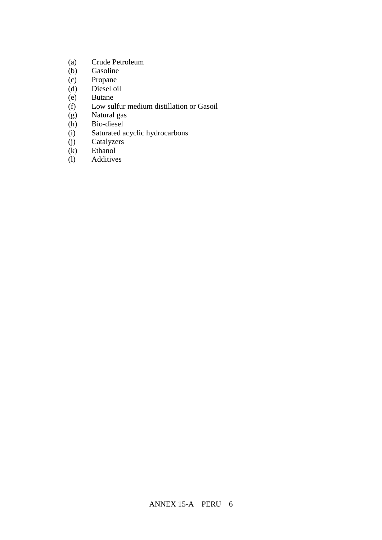- (a) Crude Petroleum
- (b) Gasoline
- (c) Propane
- (d) Diesel oil
- (e) Butane
- (f) Low sulfur medium distillation or Gasoil
- (g) Natural gas
- (h) Bio-diesel
- (i) Saturated acyclic hydrocarbons
- (j) Catalyzers
- (k) Ethanol
- (l) Additives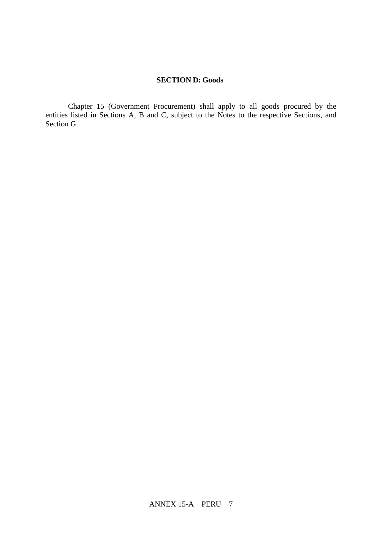### **SECTION D: Goods**

Chapter 15 (Government Procurement) shall apply to all goods procured by the entities listed in Sections A, B and C, subject to the Notes to the respective Sections, and Section G.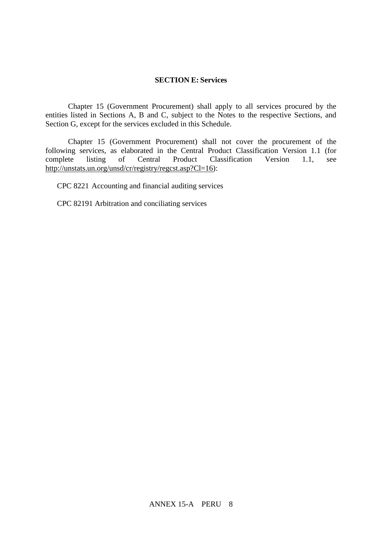#### **SECTION E: Services**

Chapter 15 (Government Procurement) shall apply to all services procured by the entities listed in Sections A, B and C, subject to the Notes to the respective Sections, and Section G, except for the services excluded in this Schedule.

Chapter 15 (Government Procurement) shall not cover the procurement of the following services, as elaborated in the Central Product Classification Version 1.1 (for complete listing of Central Product Classification Version 1.1, see http://unstats.un.org/unsd/cr/registry/regcst.asp?Cl=16):

CPC 8221 Accounting and financial auditing services

CPC 82191 Arbitration and conciliating services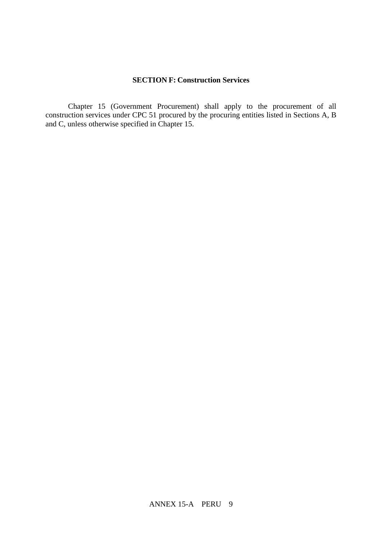## **SECTION F: Construction Services**

Chapter 15 (Government Procurement) shall apply to the procurement of all construction services under CPC 51 procured by the procuring entities listed in Sections A, B and C, unless otherwise specified in Chapter 15.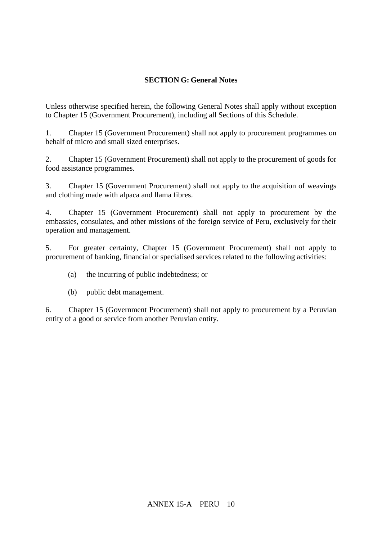# **SECTION G: General Notes**

Unless otherwise specified herein, the following General Notes shall apply without exception to Chapter 15 (Government Procurement), including all Sections of this Schedule.

1. Chapter 15 (Government Procurement) shall not apply to procurement programmes on behalf of micro and small sized enterprises.

2. Chapter 15 (Government Procurement) shall not apply to the procurement of goods for food assistance programmes.

3. Chapter 15 (Government Procurement) shall not apply to the acquisition of weavings and clothing made with alpaca and llama fibres.

4. Chapter 15 (Government Procurement) shall not apply to procurement by the embassies, consulates, and other missions of the foreign service of Peru, exclusively for their operation and management.

5. For greater certainty, Chapter 15 (Government Procurement) shall not apply to procurement of banking, financial or specialised services related to the following activities:

- (a) the incurring of public indebtedness; or
- (b) public debt management.

6. Chapter 15 (Government Procurement) shall not apply to procurement by a Peruvian entity of a good or service from another Peruvian entity.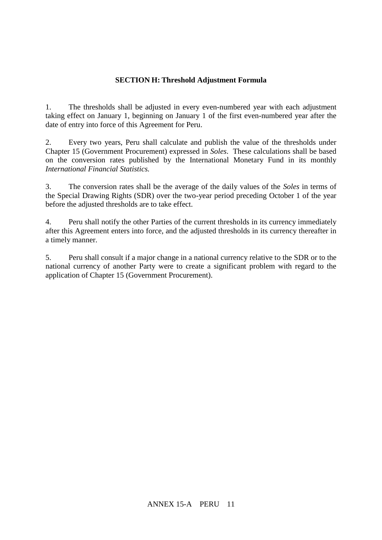## **SECTION H: Threshold Adjustment Formula**

1. The thresholds shall be adjusted in every even-numbered year with each adjustment taking effect on January 1, beginning on January 1 of the first even-numbered year after the date of entry into force of this Agreement for Peru.

2. Every two years, Peru shall calculate and publish the value of the thresholds under Chapter 15 (Government Procurement) expressed in *Soles*. These calculations shall be based on the conversion rates published by the International Monetary Fund in its monthly *International Financial Statistics.*

3. The conversion rates shall be the average of the daily values of the *Soles* in terms of the Special Drawing Rights (SDR) over the two-year period preceding October 1 of the year before the adjusted thresholds are to take effect.

4. Peru shall notify the other Parties of the current thresholds in its currency immediately after this Agreement enters into force, and the adjusted thresholds in its currency thereafter in a timely manner.

5. Peru shall consult if a major change in a national currency relative to the SDR or to the national currency of another Party were to create a significant problem with regard to the application of Chapter 15 (Government Procurement).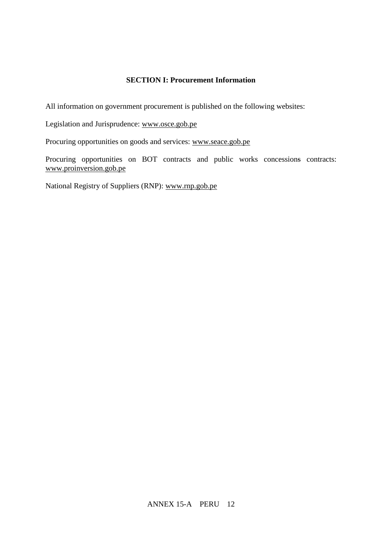# **SECTION I: Procurement Information**

All information on government procurement is published on the following websites:

Legislation and Jurisprudence: [www.osce.gob.pe](http://www.osce.gob.pe/)

Procuring opportunities on goods and services: [www.seace.gob.pe](http://www.seace.gob.pe/)

Procuring opportunities on BOT contracts and public works concessions contracts: [www.proinversion.gob.pe](http://www.proinversion.gob.pe/)

National Registry of Suppliers (RNP): [www.rnp.gob.pe](http://www.rnp.gob.pe/)